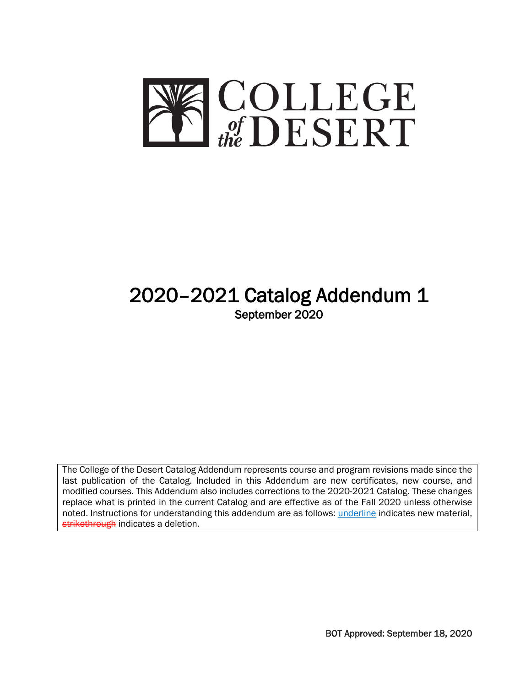

# 2020–2021 Catalog Addendum 1 September 2020

The College of the Desert Catalog Addendum represents course and program revisions made since the last publication of the Catalog. Included in this Addendum are new certificates, new course, and modified courses. This Addendum also includes corrections to the 2020-2021 Catalog. These changes replace what is printed in the current Catalog and are effective as of the Fall 2020 unless otherwise noted. Instructions for understanding this addendum are as follows: *underline* indicates new material, strikethrough indicates a deletion.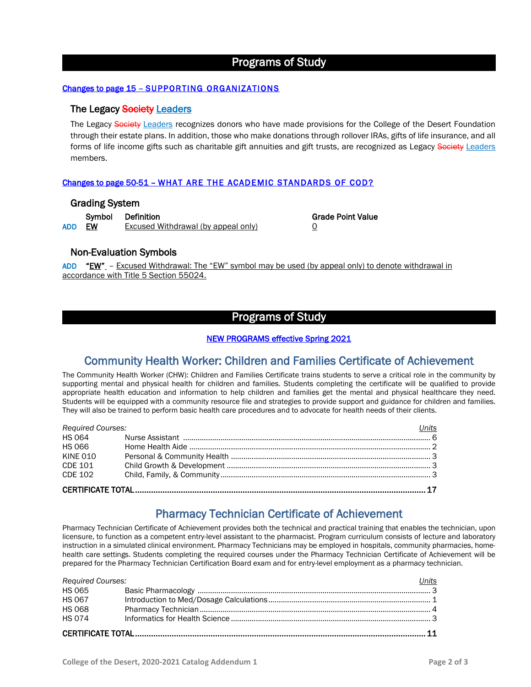# Programs of Study

#### Changes to page 15 – SUPPORTING ORGANIZATIONS

### The Legacy Society Leaders

The Legacy Society Leaders recognizes donors who have made provisions for the College of the Desert Foundation through their estate plans. In addition, those who make donations through rollover IRAs, gifts of life insurance, and all forms of life income gifts such as charitable gift annuities and gift trusts, are recognized as Legacy Society Leaders members.

#### Changes to page 50-51 – WHAT ARE THE ACADEMIC STANDARDS OF COD?

#### Grading System

Symbol Definition Grade Point Value ADD EW Excused Withdrawal (by appeal only) 0

### Non-Evaluation Symbols

ADD "EW" – Excused Withdrawal: The "EW" symbol may be used (by appeal only) to denote withdrawal in accordance with Title 5 Section 55024.

# Programs of Study

#### NEW PROGRAMS effective Spring 2021

# Community Health Worker: Children and Families Certificate of Achievement

The Community Health Worker (CHW): Children and Families Certificate trains students to serve a critical role in the community by supporting mental and physical health for children and families. Students completing the certificate will be qualified to provide appropriate health education and information to help children and families get the mental and physical healthcare they need. Students will be equipped with a community resource file and strategies to provide support and guidance for children and families. They will also be trained to perform basic health care procedures and to advocate for health needs of their clients.

| Required Courses: | Units |  |  |  |
|-------------------|-------|--|--|--|
|                   |       |  |  |  |
|                   |       |  |  |  |
| <b>KINE 010</b>   |       |  |  |  |
|                   |       |  |  |  |
|                   |       |  |  |  |
|                   |       |  |  |  |

# Pharmacy Technician Certificate of Achievement

Pharmacy Technician Certificate of Achievement provides both the technical and practical training that enables the technician, upon licensure, to function as a competent entry-level assistant to the pharmacist. Program curriculum consists of lecture and laboratory instruction in a simulated clinical environment. Pharmacy Technicians may be employed in hospitals, community pharmacies, homehealth care settings. Students completing the required courses under the Pharmacy Technician Certificate of Achievement will be prepared for the Pharmacy Technician Certification Board exam and for entry-level employment as a pharmacy technician.

| <b>Required Courses:</b> |  | Units |  |  |
|--------------------------|--|-------|--|--|
|                          |  |       |  |  |
| HS 067                   |  |       |  |  |
| <b>HS 068</b>            |  |       |  |  |
|                          |  |       |  |  |
|                          |  |       |  |  |